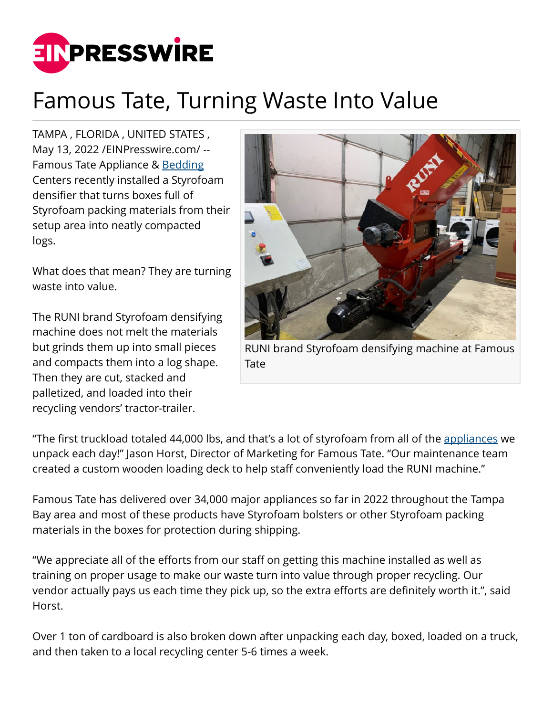

## Famous Tate, Turning Waste Into Value

TAMPA , FLORIDA , UNITED STATES , May 13, 2022 [/EINPresswire.com](http://www.einpresswire.com)/ -- Famous Tate Appliance & [Bedding](https://www.famoustate.com/) Centers recently installed a Styrofoam densifier that turns boxes full of Styrofoam packing materials from their setup area into neatly compacted logs.

What does that mean? They are turning waste into value.

The RUNI brand Styrofoam densifying machine does not melt the materials but grinds them up into small pieces and compacts them into a log shape. Then they are cut, stacked and palletized, and loaded into their recycling vendors' tractor-trailer.



RUNI brand Styrofoam densifying machine at Famous Tate

"The first truckload totaled 44,000 lbs, and that's a lot of styrofoam from all of the [appliances](https://www.famoustate.com/) we unpack each day!" Jason Horst, Director of Marketing for Famous Tate. "Our maintenance team created a custom wooden loading deck to help staff conveniently load the RUNI machine."

Famous Tate has delivered over 34,000 major appliances so far in 2022 throughout the Tampa Bay area and most of these products have Styrofoam bolsters or other Styrofoam packing materials in the boxes for protection during shipping.

"We appreciate all of the efforts from our staff on getting this machine installed as well as training on proper usage to make our waste turn into value through proper recycling. Our vendor actually pays us each time they pick up, so the extra efforts are definitely worth it.", said Horst.

Over 1 ton of cardboard is also broken down after unpacking each day, boxed, loaded on a truck, and then taken to a local recycling center 5-6 times a week.